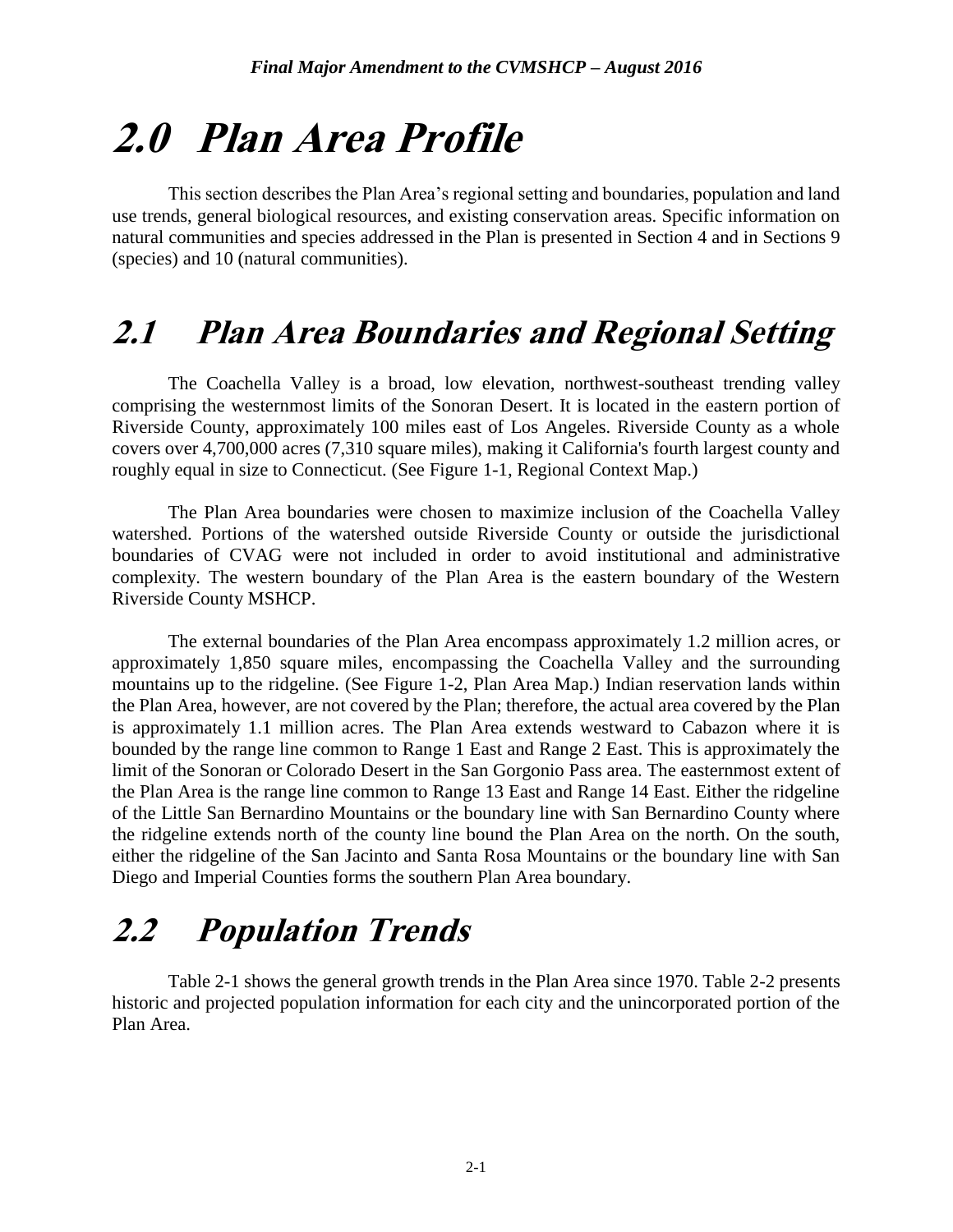# **2.0 Plan Area Profile**

This section describes the Plan Area's regional setting and boundaries, population and land use trends, general biological resources, and existing conservation areas. Specific information on natural communities and species addressed in the Plan is presented in Section 4 and in Sections 9 (species) and 10 (natural communities).

## **2.1 Plan Area Boundaries and Regional Setting**

The Coachella Valley is a broad, low elevation, northwest-southeast trending valley comprising the westernmost limits of the Sonoran Desert. It is located in the eastern portion of Riverside County, approximately 100 miles east of Los Angeles. Riverside County as a whole covers over 4,700,000 acres (7,310 square miles), making it California's fourth largest county and roughly equal in size to Connecticut. (See Figure 1-1, Regional Context Map.)

The Plan Area boundaries were chosen to maximize inclusion of the Coachella Valley watershed. Portions of the watershed outside Riverside County or outside the jurisdictional boundaries of CVAG were not included in order to avoid institutional and administrative complexity. The western boundary of the Plan Area is the eastern boundary of the Western Riverside County MSHCP.

The external boundaries of the Plan Area encompass approximately 1.2 million acres, or approximately 1,850 square miles, encompassing the Coachella Valley and the surrounding mountains up to the ridgeline. (See Figure 1-2, Plan Area Map.) Indian reservation lands within the Plan Area, however, are not covered by the Plan; therefore, the actual area covered by the Plan is approximately 1.1 million acres. The Plan Area extends westward to Cabazon where it is bounded by the range line common to Range 1 East and Range 2 East. This is approximately the limit of the Sonoran or Colorado Desert in the San Gorgonio Pass area. The easternmost extent of the Plan Area is the range line common to Range 13 East and Range 14 East. Either the ridgeline of the Little San Bernardino Mountains or the boundary line with San Bernardino County where the ridgeline extends north of the county line bound the Plan Area on the north. On the south, either the ridgeline of the San Jacinto and Santa Rosa Mountains or the boundary line with San Diego and Imperial Counties forms the southern Plan Area boundary.

# **2.2 Population Trends**

Table 2-1 shows the general growth trends in the Plan Area since 1970. Table 2-2 presents historic and projected population information for each city and the unincorporated portion of the Plan Area.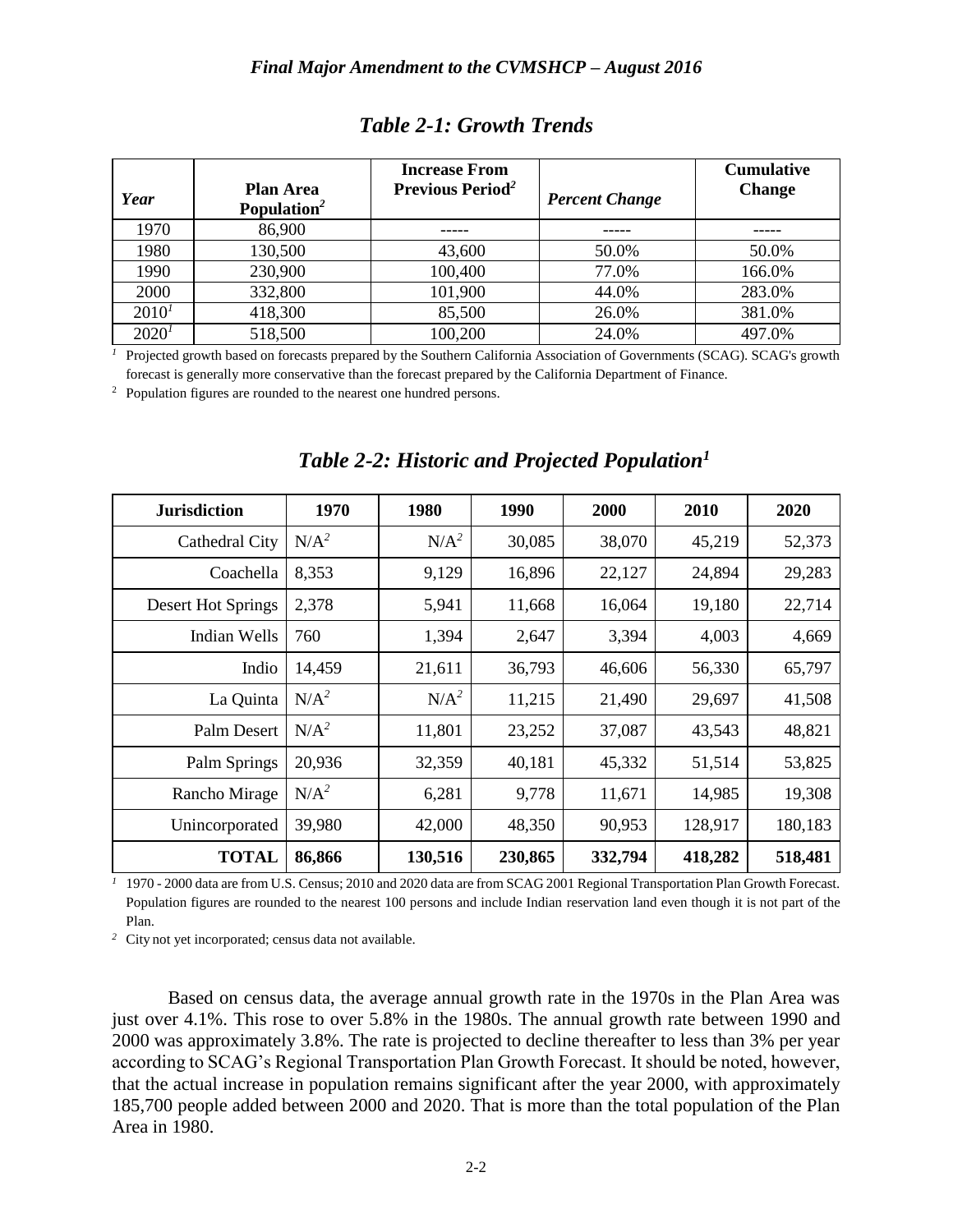|            |                                             | <b>Increase From</b>                |                       | <b>Cumulative</b> |
|------------|---------------------------------------------|-------------------------------------|-----------------------|-------------------|
| Year       | <b>Plan Area</b><br>Population <sup>2</sup> | <b>Previous Period</b> <sup>2</sup> | <b>Percent Change</b> | <b>Change</b>     |
| 1970       | 86,900                                      |                                     |                       |                   |
| 1980       | 130,500                                     | 43,600                              | 50.0%                 | 50.0%             |
| 1990       | 230,900                                     | 100,400                             | 77.0%                 | 166.0%            |
| 2000       | 332,800                                     | 101,900                             | 44.0%                 | 283.0%            |
| $2010^{1}$ | 418,300                                     | 85,500                              | 26.0%                 | 381.0%            |
| $2020^1$   | 518,500                                     | 100,200                             | 24.0%                 | 497.0%            |

### *Table 2-1: Growth Trends*

<sup>1</sup> Projected growth based on forecasts prepared by the Southern California Association of Governments (SCAG). SCAG's growth forecast is generally more conservative than the forecast prepared by the California Department of Finance.

<sup>2</sup> Population figures are rounded to the nearest one hundred persons.

| <b>Jurisdiction</b> | 1970    | 1980    | 1990    | 2000    | 2010    | 2020    |
|---------------------|---------|---------|---------|---------|---------|---------|
| Cathedral City      | $N/A^2$ | $N/A^2$ | 30,085  | 38,070  | 45,219  | 52,373  |
| Coachella           | 8,353   | 9,129   | 16,896  | 22,127  | 24,894  | 29,283  |
| Desert Hot Springs  | 2,378   | 5,941   | 11,668  | 16,064  | 19,180  | 22,714  |
| Indian Wells        | 760     | 1,394   | 2,647   | 3,394   | 4,003   | 4,669   |
| Indio               | 14,459  | 21,611  | 36,793  | 46,606  | 56,330  | 65,797  |
| La Quinta           | $N/A^2$ | $N/A^2$ | 11,215  | 21,490  | 29,697  | 41,508  |
| Palm Desert         | $N/A^2$ | 11,801  | 23,252  | 37,087  | 43,543  | 48,821  |
| Palm Springs        | 20,936  | 32,359  | 40,181  | 45,332  | 51,514  | 53,825  |
| Rancho Mirage       | $N/A^2$ | 6,281   | 9,778   | 11,671  | 14,985  | 19,308  |
| Unincorporated      | 39,980  | 42,000  | 48,350  | 90,953  | 128,917 | 180,183 |
| <b>TOTAL</b>        | 86,866  | 130,516 | 230,865 | 332,794 | 418,282 | 518,481 |

## *Table 2-2: Historic and Projected Population<sup>1</sup>*

*<sup>1</sup>* 1970 - 2000 data are from U.S. Census; 2010 and 2020 data are from SCAG 2001 Regional Transportation Plan Growth Forecast. Population figures are rounded to the nearest 100 persons and include Indian reservation land even though it is not part of the Plan.

*<sup>2</sup>* City not yet incorporated; census data not available.

Based on census data, the average annual growth rate in the 1970s in the Plan Area was just over 4.1%. This rose to over 5.8% in the 1980s. The annual growth rate between 1990 and 2000 was approximately 3.8%. The rate is projected to decline thereafter to less than 3% per year according to SCAG's Regional Transportation Plan Growth Forecast. It should be noted, however, that the actual increase in population remains significant after the year 2000, with approximately 185,700 people added between 2000 and 2020. That is more than the total population of the Plan Area in 1980.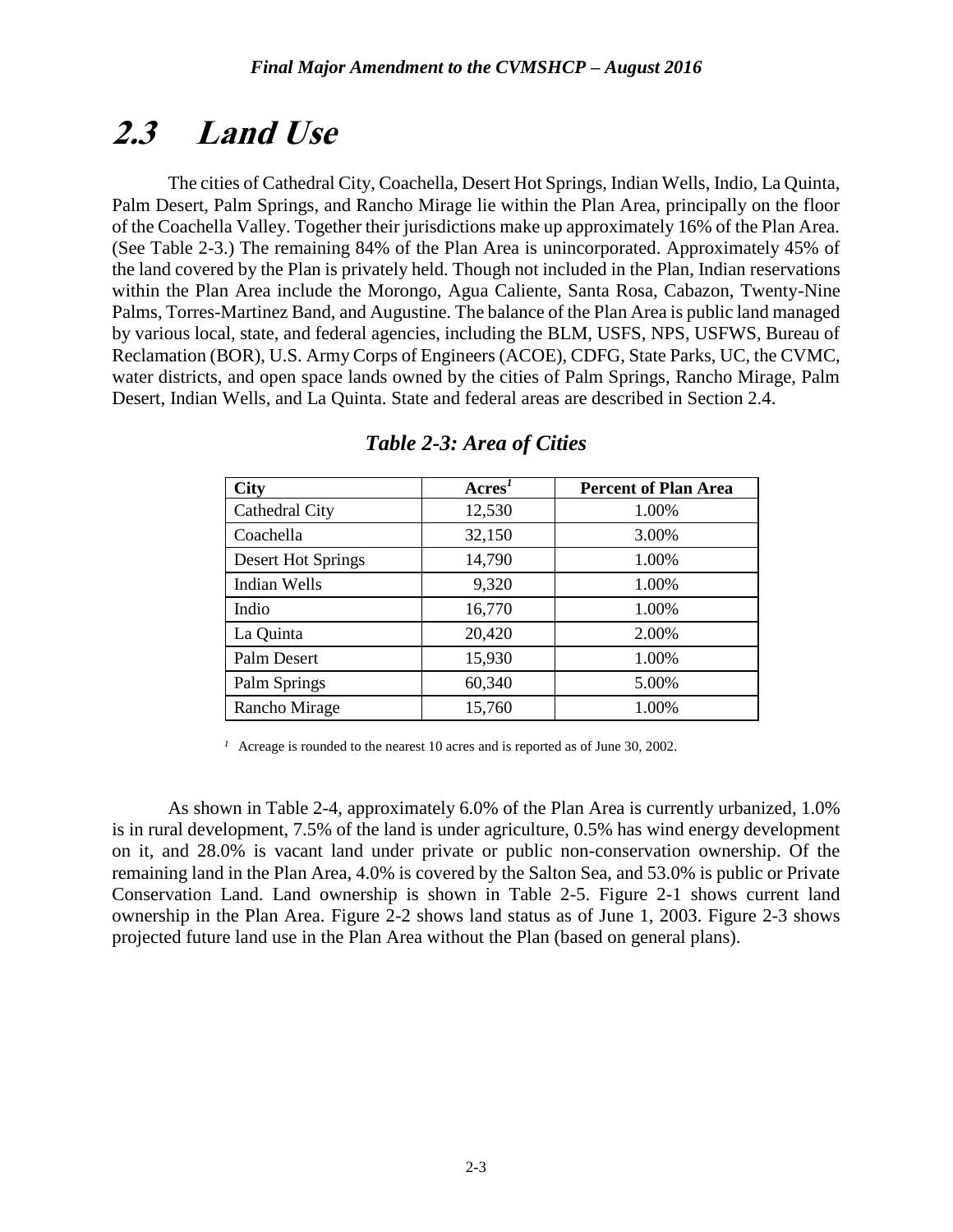# **2.3 Land Use**

The cities of Cathedral City, Coachella, Desert Hot Springs, Indian Wells, Indio, La Quinta, Palm Desert, Palm Springs, and Rancho Mirage lie within the Plan Area, principally on the floor of the Coachella Valley. Together their jurisdictions make up approximately 16% of the Plan Area. (See Table 2-3.) The remaining 84% of the Plan Area is unincorporated. Approximately 45% of the land covered by the Plan is privately held. Though not included in the Plan, Indian reservations within the Plan Area include the Morongo, Agua Caliente, Santa Rosa, Cabazon, Twenty-Nine Palms, Torres-Martinez Band, and Augustine. The balance of the Plan Area is public land managed by various local, state, and federal agencies, including the BLM, USFS, NPS, USFWS, Bureau of Reclamation (BOR), U.S. Army Corps of Engineers (ACOE), CDFG, State Parks, UC, the CVMC, water districts, and open space lands owned by the cities of Palm Springs, Rancho Mirage, Palm Desert, Indian Wells, and La Quinta. State and federal areas are described in Section 2.4.

| <b>City</b>         | $\text{Acres}^1$ | <b>Percent of Plan Area</b> |
|---------------------|------------------|-----------------------------|
| Cathedral City      | 12,530           | 1.00%                       |
| Coachella           | 32,150           | 3.00%                       |
| Desert Hot Springs  | 14,790           | 1.00%                       |
| <b>Indian Wells</b> | 9,320            | 1.00%                       |
| Indio               | 16,770           | 1.00%                       |
| La Quinta           | 20,420           | 2.00%                       |
| Palm Desert         | 15,930           | 1.00%                       |
| Palm Springs        | 60,340           | 5.00%                       |
| Rancho Mirage       | 15,760           | 1.00%                       |

| Table 2-3: Area of Cities |  |  |
|---------------------------|--|--|
|                           |  |  |

<sup>1</sup> Acreage is rounded to the nearest 10 acres and is reported as of June 30, 2002.

As shown in Table 2-4, approximately 6.0% of the Plan Area is currently urbanized, 1.0% is in rural development, 7.5% of the land is under agriculture, 0.5% has wind energy development on it, and 28.0% is vacant land under private or public non-conservation ownership. Of the remaining land in the Plan Area, 4.0% is covered by the Salton Sea, and 53.0% is public or Private Conservation Land. Land ownership is shown in Table 2-5. Figure 2-1 shows current land ownership in the Plan Area. Figure 2-2 shows land status as of June 1, 2003. Figure 2-3 shows projected future land use in the Plan Area without the Plan (based on general plans).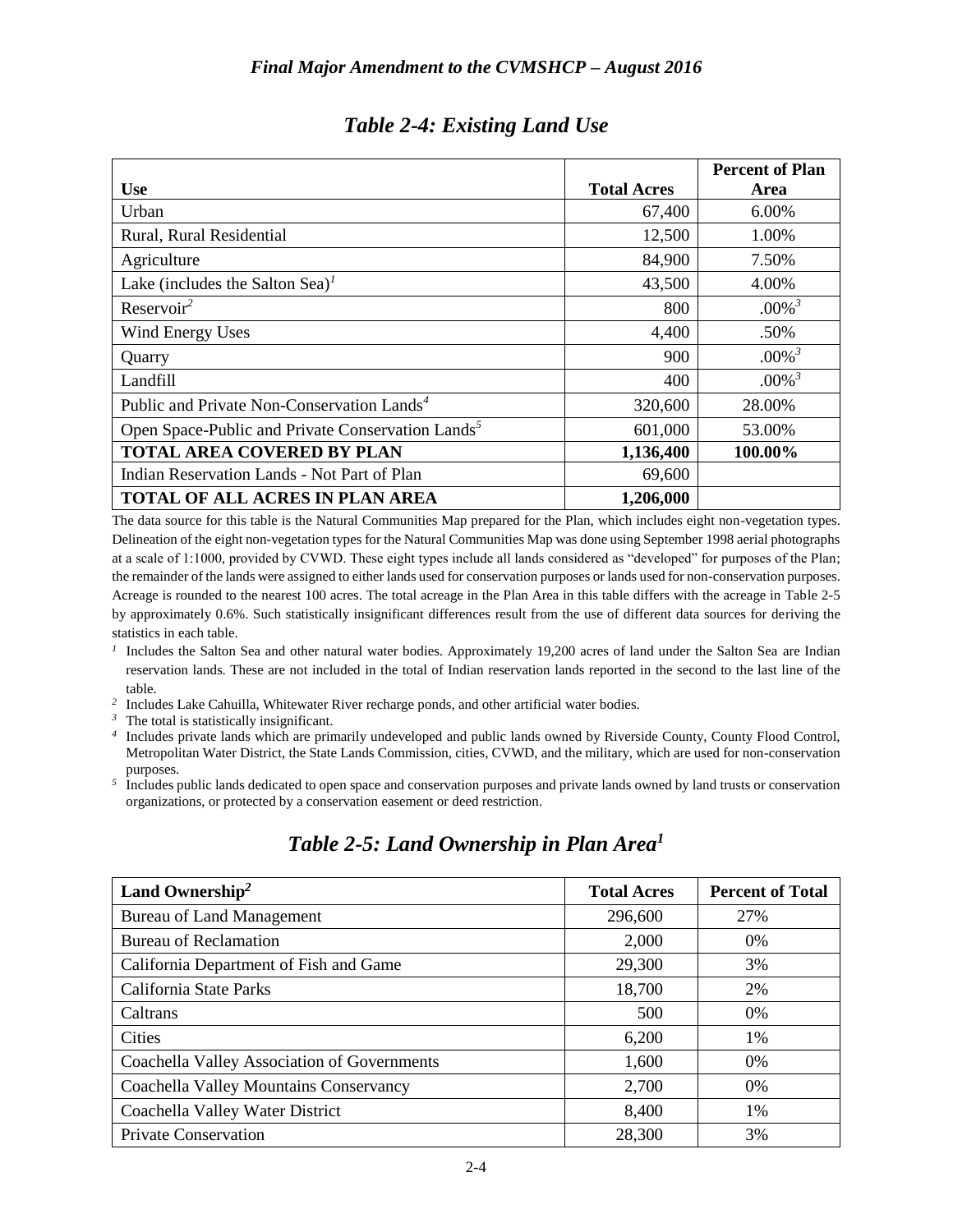|                                                               |                    | <b>Percent of Plan</b> |
|---------------------------------------------------------------|--------------------|------------------------|
| <b>Use</b>                                                    | <b>Total Acres</b> | Area                   |
| Urban                                                         | 67,400             | 6.00%                  |
| Rural, Rural Residential                                      | 12,500             | 1.00%                  |
| Agriculture                                                   | 84,900             | 7.50%                  |
| Lake (includes the Salton Sea) <sup>1</sup>                   | 43,500             | 4.00%                  |
| Reservoir <sup>2</sup>                                        | 800                | $.00\%$ <sup>3</sup>   |
| Wind Energy Uses                                              | 4,400              | .50%                   |
| Quarry                                                        | 900                | $.00\%$ <sup>3</sup>   |
| Landfill                                                      | 400                | $.00\%$ <sup>3</sup>   |
| Public and Private Non-Conservation Lands <sup>4</sup>        | 320,600            | 28.00%                 |
| Open Space-Public and Private Conservation Lands <sup>5</sup> | 601,000            | 53.00%                 |
| <b>TOTAL AREA COVERED BY PLAN</b>                             | 1,136,400          | 100.00%                |
| Indian Reservation Lands - Not Part of Plan                   | 69,600             |                        |
| <b>TOTAL OF ALL ACRES IN PLAN AREA</b>                        | 1,206,000          |                        |

### *Table 2-4: Existing Land Use*

The data source for this table is the Natural Communities Map prepared for the Plan, which includes eight non-vegetation types. Delineation of the eight non-vegetation types for the Natural Communities Map was done using September 1998 aerial photographs at a scale of 1:1000, provided by CVWD. These eight types include all lands considered as "developed" for purposes of the Plan; the remainder of the lands were assigned to either lands used for conservation purposes or lands used for non-conservation purposes. Acreage is rounded to the nearest 100 acres. The total acreage in the Plan Area in this table differs with the acreage in Table 2-5 by approximately 0.6%. Such statistically insignificant differences result from the use of different data sources for deriving the statistics in each table.

- <sup>1</sup> Includes the Salton Sea and other natural water bodies. Approximately 19,200 acres of land under the Salton Sea are Indian reservation lands. These are not included in the total of Indian reservation lands reported in the second to the last line of the table.
- <sup>2</sup> Includes Lake Cahuilla, Whitewater River recharge ponds, and other artificial water bodies.
- <sup>3</sup> The total is statistically insignificant.<sup>4</sup> Includes private lands which are prir
- *<sup>4</sup>* Includes private lands which are primarily undeveloped and public lands owned by Riverside County, County Flood Control, Metropolitan Water District, the State Lands Commission, cities, CVWD, and the military, which are used for non-conservation purposes.
- <sup>5</sup> Includes public lands dedicated to open space and conservation purposes and private lands owned by land trusts or conservation organizations, or protected by a conservation easement or deed restriction.

| Land Ownership <sup>2</sup>                 | <b>Total Acres</b> | <b>Percent of Total</b> |
|---------------------------------------------|--------------------|-------------------------|
| <b>Bureau of Land Management</b>            | 296,600            | 27%                     |
| <b>Bureau of Reclamation</b>                | 2,000              | $0\%$                   |
| California Department of Fish and Game      | 29,300             | 3%                      |
| California State Parks                      | 18,700             | 2%                      |
| Caltrans                                    | 500                | 0%                      |
| Cities                                      | 6,200              | 1%                      |
| Coachella Valley Association of Governments | 1,600              | $0\%$                   |
| Coachella Valley Mountains Conservancy      | 2,700              | $0\%$                   |
| Coachella Valley Water District             | 8,400              | 1%                      |
| <b>Private Conservation</b>                 | 28,300             | 3%                      |

### *Table 2-5: Land Ownership in Plan Area<sup>1</sup>*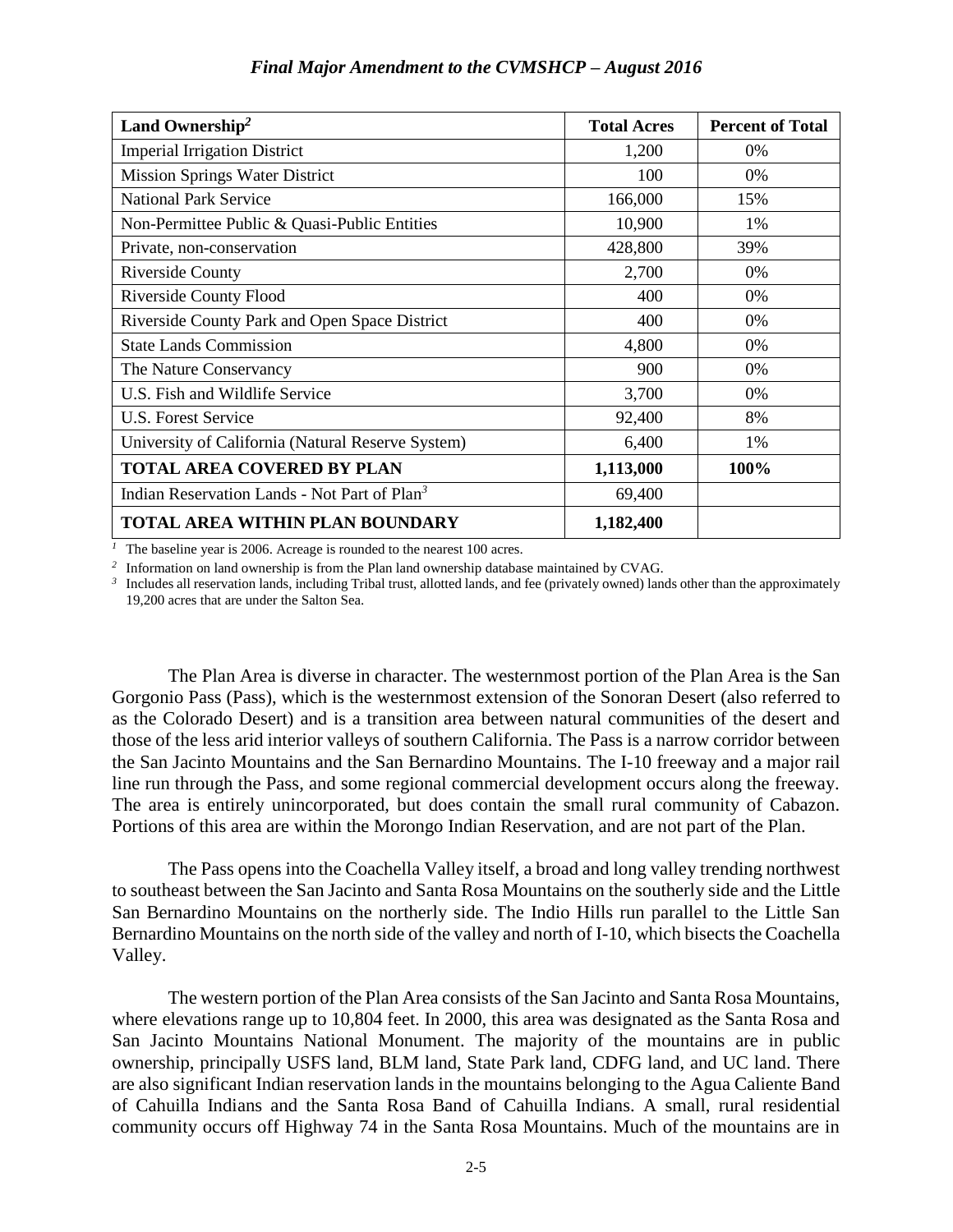| Land Ownership <sup>2</sup>                              | <b>Total Acres</b> | <b>Percent of Total</b> |
|----------------------------------------------------------|--------------------|-------------------------|
| <b>Imperial Irrigation District</b>                      | 1,200              | 0%                      |
| <b>Mission Springs Water District</b>                    | 100                | 0%                      |
| <b>National Park Service</b>                             | 166,000            | 15%                     |
| Non-Permittee Public & Quasi-Public Entities             | 10,900             | 1%                      |
| Private, non-conservation                                | 428,800            | 39%                     |
| <b>Riverside County</b>                                  | 2,700              | 0%                      |
| <b>Riverside County Flood</b>                            | 400                | 0%                      |
| Riverside County Park and Open Space District            | 400                | 0%                      |
| <b>State Lands Commission</b>                            | 4,800              | 0%                      |
| The Nature Conservancy                                   | 900                | 0%                      |
| U.S. Fish and Wildlife Service                           | 3,700              | 0%                      |
| U.S. Forest Service                                      | 92,400             | 8%                      |
| University of California (Natural Reserve System)        | 6,400              | 1%                      |
| <b>TOTAL AREA COVERED BY PLAN</b>                        | 1,113,000          | 100%                    |
| Indian Reservation Lands - Not Part of Plan <sup>3</sup> | 69,400             |                         |
| <b>TOTAL AREA WITHIN PLAN BOUNDARY</b>                   | 1,182,400          |                         |

<sup>1</sup> The baseline year is 2006. Acreage is rounded to the nearest 100 acres.

*2* Information on land ownership is from the Plan land ownership database maintained by CVAG.

<sup>3</sup> Includes all reservation lands, including Tribal trust, allotted lands, and fee (privately owned) lands other than the approximately 19,200 acres that are under the Salton Sea.

The Plan Area is diverse in character. The westernmost portion of the Plan Area is the San Gorgonio Pass (Pass), which is the westernmost extension of the Sonoran Desert (also referred to as the Colorado Desert) and is a transition area between natural communities of the desert and those of the less arid interior valleys of southern California. The Pass is a narrow corridor between the San Jacinto Mountains and the San Bernardino Mountains. The I-10 freeway and a major rail line run through the Pass, and some regional commercial development occurs along the freeway. The area is entirely unincorporated, but does contain the small rural community of Cabazon. Portions of this area are within the Morongo Indian Reservation, and are not part of the Plan.

The Pass opens into the Coachella Valley itself, a broad and long valley trending northwest to southeast between the San Jacinto and Santa Rosa Mountains on the southerly side and the Little San Bernardino Mountains on the northerly side. The Indio Hills run parallel to the Little San Bernardino Mountains on the north side of the valley and north of I-10, which bisects the Coachella Valley.

The western portion of the Plan Area consists of the San Jacinto and Santa Rosa Mountains, where elevations range up to 10,804 feet. In 2000, this area was designated as the Santa Rosa and San Jacinto Mountains National Monument. The majority of the mountains are in public ownership, principally USFS land, BLM land, State Park land, CDFG land, and UC land. There are also significant Indian reservation lands in the mountains belonging to the Agua Caliente Band of Cahuilla Indians and the Santa Rosa Band of Cahuilla Indians. A small, rural residential community occurs off Highway 74 in the Santa Rosa Mountains. Much of the mountains are in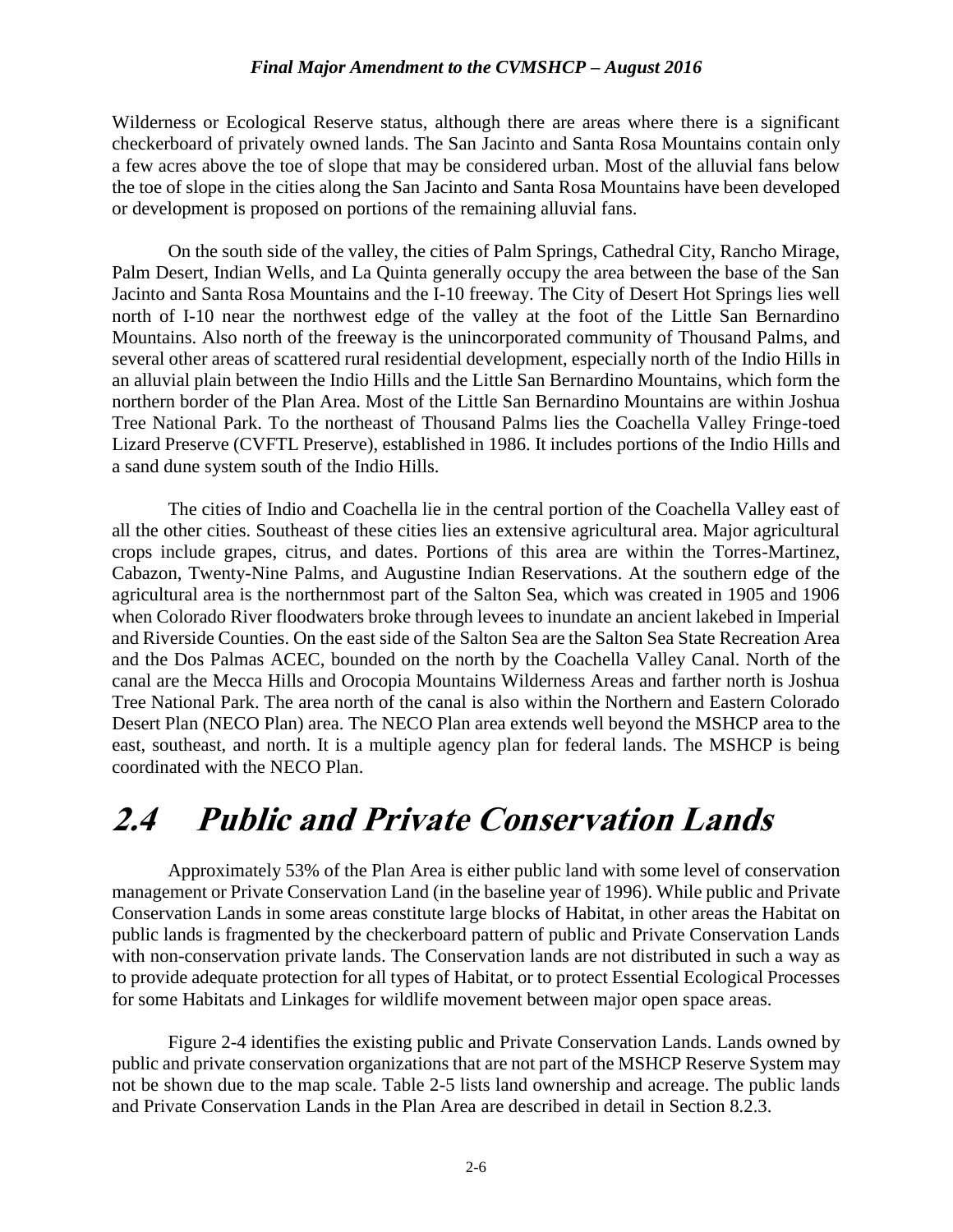Wilderness or Ecological Reserve status, although there are areas where there is a significant checkerboard of privately owned lands. The San Jacinto and Santa Rosa Mountains contain only a few acres above the toe of slope that may be considered urban. Most of the alluvial fans below the toe of slope in the cities along the San Jacinto and Santa Rosa Mountains have been developed or development is proposed on portions of the remaining alluvial fans.

On the south side of the valley, the cities of Palm Springs, Cathedral City, Rancho Mirage, Palm Desert, Indian Wells, and La Quinta generally occupy the area between the base of the San Jacinto and Santa Rosa Mountains and the I-10 freeway. The City of Desert Hot Springs lies well north of I-10 near the northwest edge of the valley at the foot of the Little San Bernardino Mountains. Also north of the freeway is the unincorporated community of Thousand Palms, and several other areas of scattered rural residential development, especially north of the Indio Hills in an alluvial plain between the Indio Hills and the Little San Bernardino Mountains, which form the northern border of the Plan Area. Most of the Little San Bernardino Mountains are within Joshua Tree National Park. To the northeast of Thousand Palms lies the Coachella Valley Fringe-toed Lizard Preserve (CVFTL Preserve), established in 1986. It includes portions of the Indio Hills and a sand dune system south of the Indio Hills.

The cities of Indio and Coachella lie in the central portion of the Coachella Valley east of all the other cities. Southeast of these cities lies an extensive agricultural area. Major agricultural crops include grapes, citrus, and dates. Portions of this area are within the Torres-Martinez, Cabazon, Twenty-Nine Palms, and Augustine Indian Reservations. At the southern edge of the agricultural area is the northernmost part of the Salton Sea, which was created in 1905 and 1906 when Colorado River floodwaters broke through levees to inundate an ancient lakebed in Imperial and Riverside Counties. On the east side of the Salton Sea are the Salton Sea State Recreation Area and the Dos Palmas ACEC, bounded on the north by the Coachella Valley Canal. North of the canal are the Mecca Hills and Orocopia Mountains Wilderness Areas and farther north is Joshua Tree National Park. The area north of the canal is also within the Northern and Eastern Colorado Desert Plan (NECO Plan) area. The NECO Plan area extends well beyond the MSHCP area to the east, southeast, and north. It is a multiple agency plan for federal lands. The MSHCP is being coordinated with the NECO Plan.

## **2.4 Public and Private Conservation Lands**

Approximately 53% of the Plan Area is either public land with some level of conservation management or Private Conservation Land (in the baseline year of 1996). While public and Private Conservation Lands in some areas constitute large blocks of Habitat, in other areas the Habitat on public lands is fragmented by the checkerboard pattern of public and Private Conservation Lands with non-conservation private lands. The Conservation lands are not distributed in such a way as to provide adequate protection for all types of Habitat, or to protect Essential Ecological Processes for some Habitats and Linkages for wildlife movement between major open space areas.

Figure 2-4 identifies the existing public and Private Conservation Lands. Lands owned by public and private conservation organizations that are not part of the MSHCP Reserve System may not be shown due to the map scale. Table 2-5 lists land ownership and acreage. The public lands and Private Conservation Lands in the Plan Area are described in detail in Section 8.2.3.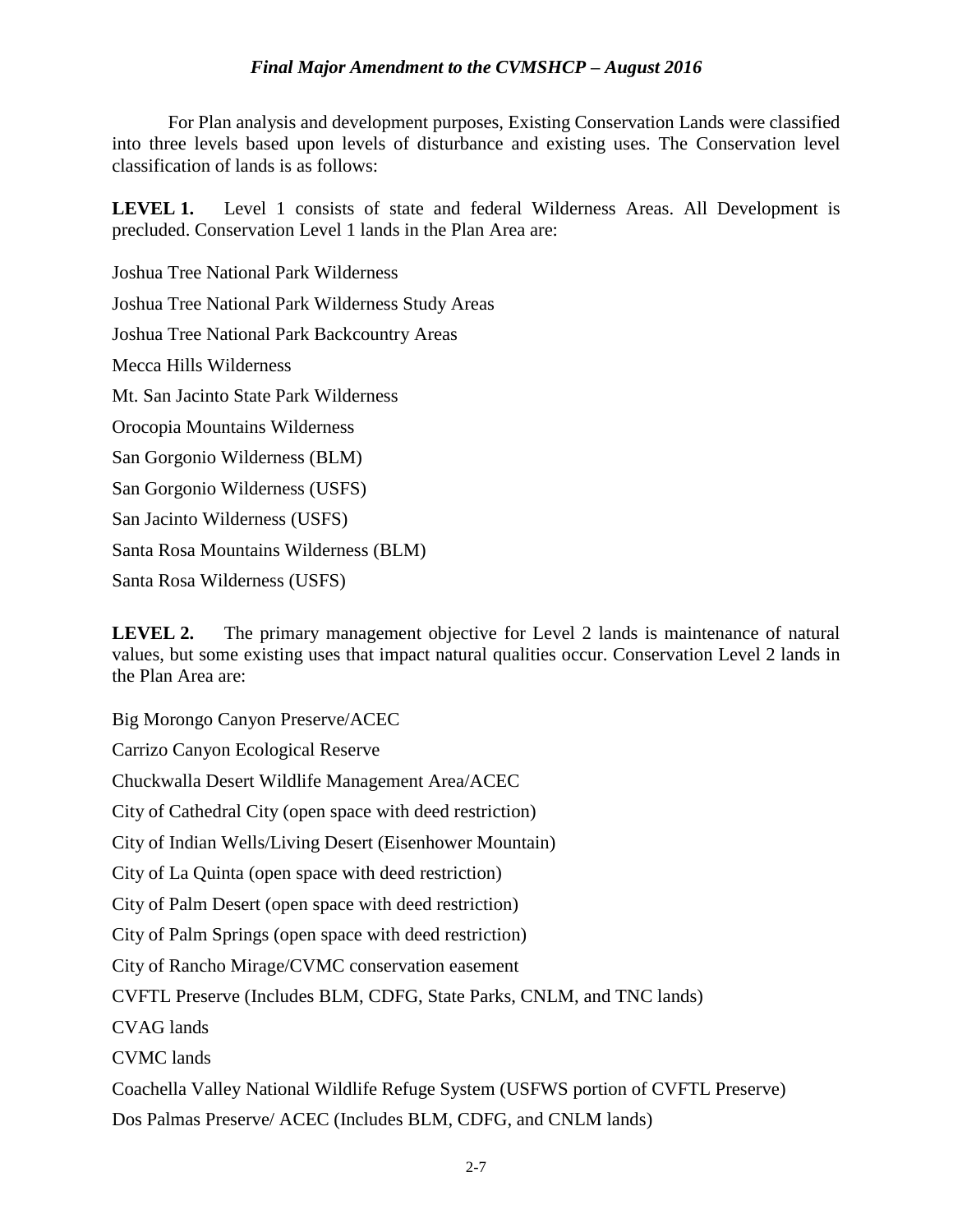For Plan analysis and development purposes, Existing Conservation Lands were classified into three levels based upon levels of disturbance and existing uses. The Conservation level classification of lands is as follows:

**LEVEL 1.** Level 1 consists of state and federal Wilderness Areas. All Development is precluded. Conservation Level 1 lands in the Plan Area are:

Joshua Tree National Park Wilderness Joshua Tree National Park Wilderness Study Areas Joshua Tree National Park Backcountry Areas Mecca Hills Wilderness Mt. San Jacinto State Park Wilderness Orocopia Mountains Wilderness San Gorgonio Wilderness (BLM) San Gorgonio Wilderness (USFS) San Jacinto Wilderness (USFS) Santa Rosa Mountains Wilderness (BLM) Santa Rosa Wilderness (USFS)

**LEVEL 2.** The primary management objective for Level 2 lands is maintenance of natural values, but some existing uses that impact natural qualities occur. Conservation Level 2 lands in the Plan Area are:

Big Morongo Canyon Preserve/ACEC Carrizo Canyon Ecological Reserve Chuckwalla Desert Wildlife Management Area/ACEC City of Cathedral City (open space with deed restriction) City of Indian Wells/Living Desert (Eisenhower Mountain) City of La Quinta (open space with deed restriction) City of Palm Desert (open space with deed restriction) City of Palm Springs (open space with deed restriction) City of Rancho Mirage/CVMC conservation easement CVFTL Preserve (Includes BLM, CDFG, State Parks, CNLM, and TNC lands) CVAG lands CVMC lands Coachella Valley National Wildlife Refuge System (USFWS portion of CVFTL Preserve)

Dos Palmas Preserve/ ACEC (Includes BLM, CDFG, and CNLM lands)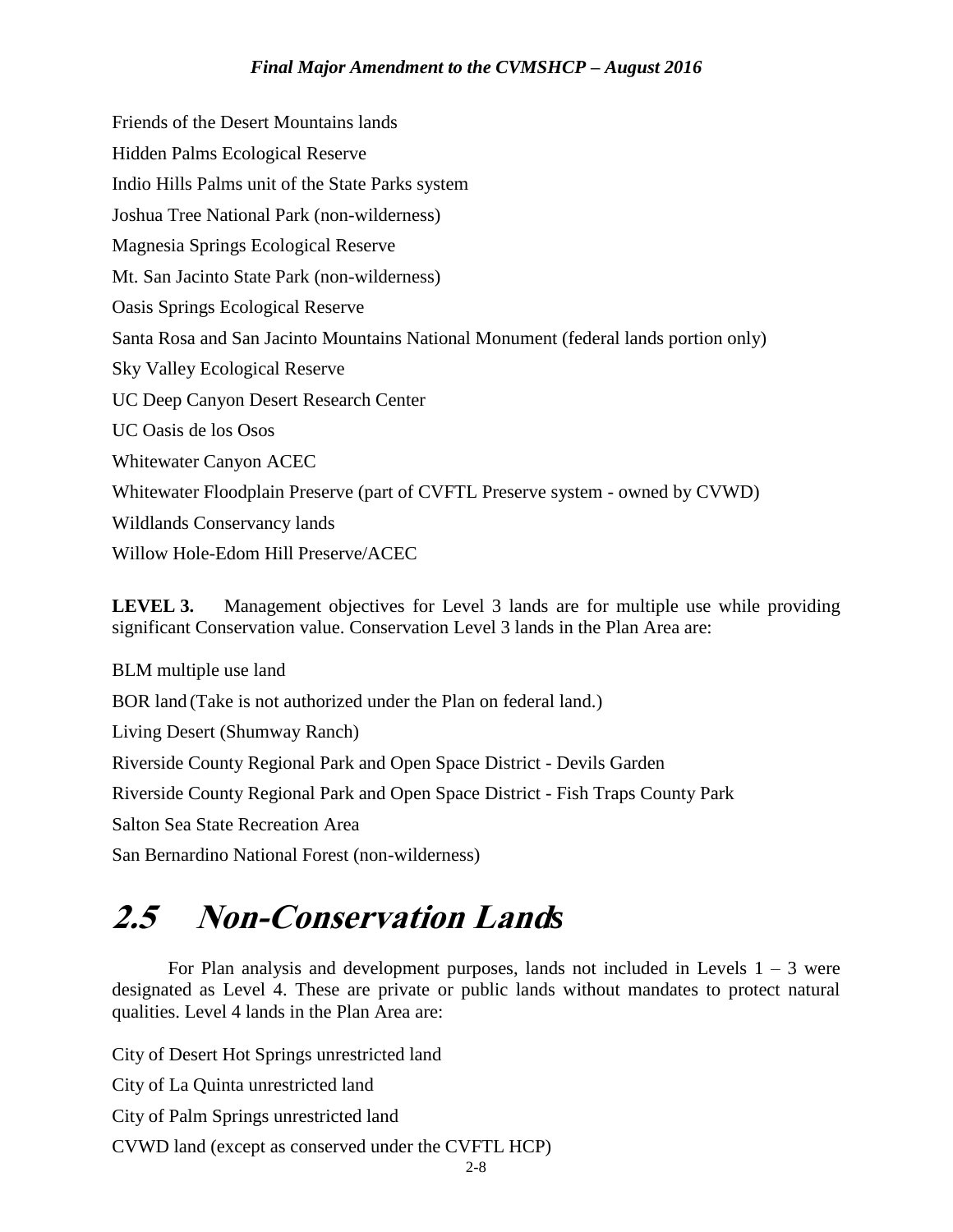Friends of the Desert Mountains lands Hidden Palms Ecological Reserve Indio Hills Palms unit of the State Parks system Joshua Tree National Park (non-wilderness) Magnesia Springs Ecological Reserve Mt. San Jacinto State Park (non-wilderness) Oasis Springs Ecological Reserve Santa Rosa and San Jacinto Mountains National Monument (federal lands portion only) Sky Valley Ecological Reserve UC Deep Canyon Desert Research Center UC Oasis de los Osos Whitewater Canyon ACEC Whitewater Floodplain Preserve (part of CVFTL Preserve system - owned by CVWD) Wildlands Conservancy lands Willow Hole-Edom Hill Preserve/ACEC

**LEVEL 3.** Management objectives for Level 3 lands are for multiple use while providing significant Conservation value. Conservation Level 3 lands in the Plan Area are:

BLM multiple use land BOR land (Take is not authorized under the Plan on federal land.) Living Desert (Shumway Ranch) Riverside County Regional Park and Open Space District - Devils Garden Riverside County Regional Park and Open Space District - Fish Traps County Park Salton Sea State Recreation Area San Bernardino National Forest (non-wilderness)

# **2.5 Non-Conservation Land***s*

For Plan analysis and development purposes, lands not included in Levels  $1 - 3$  were designated as Level 4. These are private or public lands without mandates to protect natural qualities. Level 4 lands in the Plan Area are:

City of Desert Hot Springs unrestricted land

City of La Quinta unrestricted land

City of Palm Springs unrestricted land

CVWD land (except as conserved under the CVFTL HCP)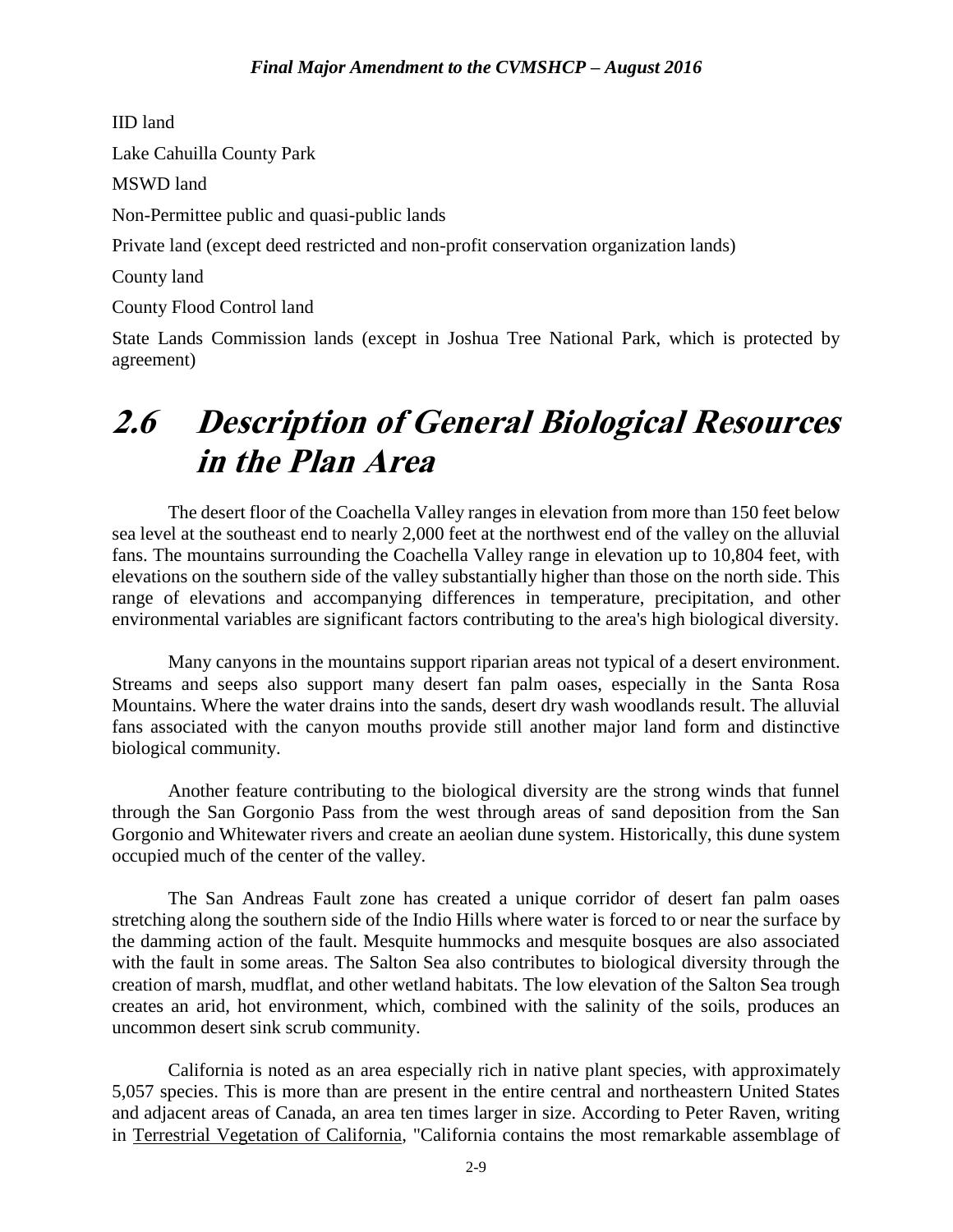IID land Lake Cahuilla County Park MSWD land Non-Permittee public and quasi-public lands Private land (except deed restricted and non-profit conservation organization lands) County land County Flood Control land

State Lands Commission lands (except in Joshua Tree National Park, which is protected by agreement)

# **2.6 Description of General Biological Resources in the Plan Area**

The desert floor of the Coachella Valley ranges in elevation from more than 150 feet below sea level at the southeast end to nearly 2,000 feet at the northwest end of the valley on the alluvial fans. The mountains surrounding the Coachella Valley range in elevation up to 10,804 feet, with elevations on the southern side of the valley substantially higher than those on the north side. This range of elevations and accompanying differences in temperature, precipitation, and other environmental variables are significant factors contributing to the area's high biological diversity.

Many canyons in the mountains support riparian areas not typical of a desert environment. Streams and seeps also support many desert fan palm oases, especially in the Santa Rosa Mountains. Where the water drains into the sands, desert dry wash woodlands result. The alluvial fans associated with the canyon mouths provide still another major land form and distinctive biological community.

Another feature contributing to the biological diversity are the strong winds that funnel through the San Gorgonio Pass from the west through areas of sand deposition from the San Gorgonio and Whitewater rivers and create an aeolian dune system. Historically, this dune system occupied much of the center of the valley.

The San Andreas Fault zone has created a unique corridor of desert fan palm oases stretching along the southern side of the Indio Hills where water is forced to or near the surface by the damming action of the fault. Mesquite hummocks and mesquite bosques are also associated with the fault in some areas. The Salton Sea also contributes to biological diversity through the creation of marsh, mudflat, and other wetland habitats. The low elevation of the Salton Sea trough creates an arid, hot environment, which, combined with the salinity of the soils, produces an uncommon desert sink scrub community.

California is noted as an area especially rich in native plant species, with approximately 5,057 species. This is more than are present in the entire central and northeastern United States and adjacent areas of Canada, an area ten times larger in size. According to Peter Raven, writing in Terrestrial Vegetation of California, "California contains the most remarkable assemblage of